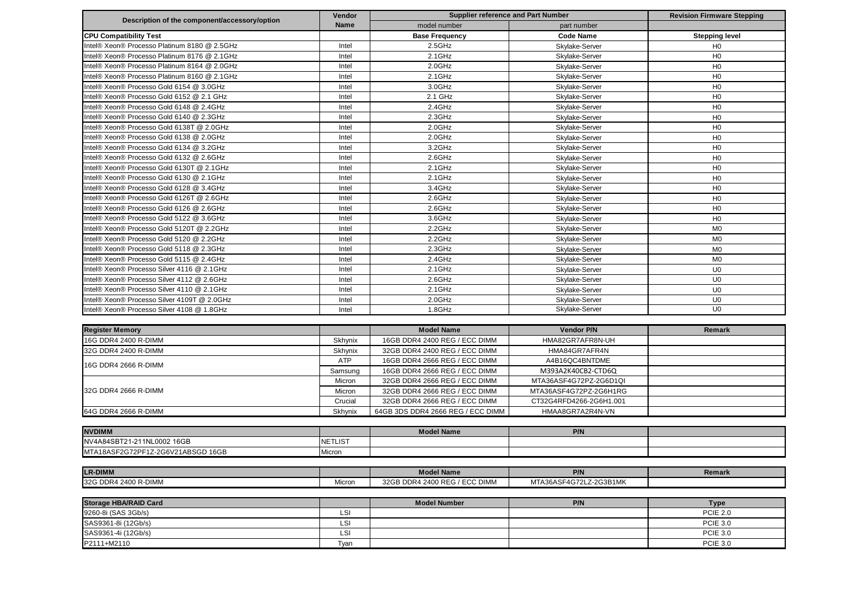|                                               | Vendor         | <b>Supplier reference and Part Number</b> |                         | <b>Revision Firmware Stepping</b> |  |
|-----------------------------------------------|----------------|-------------------------------------------|-------------------------|-----------------------------------|--|
| Description of the component/accessory/option | <b>Name</b>    | model number                              | part number             |                                   |  |
| <b>CPU Compatibility Test</b>                 |                | <b>Base Frequency</b>                     | <b>Code Name</b>        | <b>Stepping level</b>             |  |
| Intel® Xeon® Processo Platinum 8180 @ 2.5GHz  | Intel          | 2.5GHz                                    | Skylake-Server          | H <sub>0</sub>                    |  |
| Intel® Xeon® Processo Platinum 8176 @ 2.1GHz  | Intel          | $2.1$ GHz                                 | Skylake-Server          | H <sub>0</sub>                    |  |
| Intel® Xeon® Processo Platinum 8164 @ 2.0GHz  | Intel          | 2.0GHz                                    | Skylake-Server          | H <sub>0</sub>                    |  |
| Intel® Xeon® Processo Platinum 8160 @ 2.1GHz  | Intel          | $2.1$ GHz                                 | Skylake-Server          | H <sub>0</sub>                    |  |
| Intel® Xeon® Processo Gold 6154 @ 3.0GHz      | Intel          | 3.0GHz                                    | Skylake-Server          | H <sub>0</sub>                    |  |
| Intel® Xeon® Processo Gold 6152 @ 2.1 GHz     | Intel          | 2.1 GHz                                   | Skylake-Server          | H <sub>0</sub>                    |  |
| Intel® Xeon® Processo Gold 6148 @ 2.4GHz      | Intel          | 2.4GHz                                    | Skylake-Server          | H <sub>0</sub>                    |  |
| Intel® Xeon® Processo Gold 6140 @ 2.3GHz      | Intel          | 2.3GHz                                    | Skylake-Server          | H <sub>0</sub>                    |  |
| Intel® Xeon® Processo Gold 6138T @ 2.0GHz     | Intel          | 2.0GHz                                    | Skylake-Server          | H <sub>0</sub>                    |  |
| Intel® Xeon® Processo Gold 6138 @ 2.0GHz      | Intel          | 2.0GHz                                    | Skylake-Server          | H <sub>0</sub>                    |  |
| Intel® Xeon® Processo Gold 6134 @ 3.2GHz      | Intel          | $3.2$ GHz                                 | Skylake-Server          | H <sub>0</sub>                    |  |
| Intel® Xeon® Processo Gold 6132 @ 2.6GHz      | Intel          | 2.6GHz                                    | Skylake-Server          | H <sub>0</sub>                    |  |
| Intel® Xeon® Processo Gold 6130T @ 2.1GHz     | Intel          | $2.1$ GHz                                 | Skylake-Server          | H <sub>0</sub>                    |  |
| Intel® Xeon® Processo Gold 6130 @ 2.1GHz      | Intel          | $2.1$ GHz                                 | Skylake-Server          | H <sub>0</sub>                    |  |
| Intel® Xeon® Processo Gold 6128 @ 3.4GHz      | Intel          | 3.4GHz                                    | Skylake-Server          | H <sub>0</sub>                    |  |
| Intel® Xeon® Processo Gold 6126T @ 2.6GHz     | Intel          | 2.6GHz                                    | Skylake-Server          | H <sub>0</sub>                    |  |
| Intel® Xeon® Processo Gold 6126 @ 2.6GHz      | Intel          | 2.6GHz                                    | Skylake-Server          | H <sub>0</sub>                    |  |
| Intel® Xeon® Processo Gold 5122 @ 3.6GHz      | Intel          | 3.6GHz                                    | Skylake-Server          | H <sub>0</sub>                    |  |
| Intel® Xeon® Processo Gold 5120T @ 2.2GHz     | Intel          | 2.2GHz                                    | Skylake-Server          | M <sub>0</sub>                    |  |
| Intel® Xeon® Processo Gold 5120 @ 2.2GHz      | Intel          | 2.2GHz                                    | Skylake-Server          | M <sub>0</sub>                    |  |
| Intel® Xeon® Processo Gold 5118 @ 2.3GHz      | Intel          | 2.3GHz                                    | Skylake-Server          | M <sub>0</sub>                    |  |
| Intel® Xeon® Processo Gold 5115 @ 2.4GHz      | Intel          | 2.4GHz                                    | Skylake-Server          | M <sub>0</sub>                    |  |
| Intel® Xeon® Processo Silver 4116 @ 2.1GHz    | Intel          | $2.1$ GHz                                 | Skylake-Server          | U <sub>0</sub>                    |  |
| Intel® Xeon® Processo Silver 4112 @ 2.6GHz    | Intel          | 2.6GHz                                    | Skylake-Server          | U <sub>0</sub>                    |  |
| Intel® Xeon® Processo Silver 4110 @ 2.1GHz    | Intel          | $2.1$ GHz                                 | Skylake-Server          | U <sub>0</sub>                    |  |
| Intel® Xeon® Processo Silver 4109T @ 2.0GHz   | Intel          | $2.0$ GHz                                 | Skylake-Server          | U <sub>0</sub>                    |  |
| Intel® Xeon® Processo Silver 4108 @ 1.8GHz    | Intel          | 1.8GHz                                    | Skylake-Server          | U <sub>0</sub>                    |  |
|                                               |                |                                           |                         |                                   |  |
| <b>Register Memory</b>                        |                | <b>Model Name</b>                         | <b>Vendor P/N</b>       | Remark                            |  |
| 16G DDR4 2400 R-DIMM                          | Skhynix        | 16GB DDR4 2400 REG / ECC DIMM             | HMA82GR7AFR8N-UH        |                                   |  |
| 32G DDR4 2400 R-DIMM                          | Skhynix        | 32GB DDR4 2400 REG / ECC DIMM             | HMA84GR7AFR4N           |                                   |  |
|                                               | <b>ATP</b>     | 16GB DDR4 2666 REG / ECC DIMM             | A4B16QC4BNTDME          |                                   |  |
| 16G DDR4 2666 R-DIMM                          | Samsung        | 16GB DDR4 2666 REG / ECC DIMM             | M393A2K40CB2-CTD6Q      |                                   |  |
|                                               | Micron         | 32GB DDR4 2666 REG / ECC DIMM             | MTA36ASF4G72PZ-2G6D1QI  |                                   |  |
| 32G DDR4 2666 R-DIMM                          | Micron         | 32GB DDR4 2666 REG / ECC DIMM             | MTA36ASF4G72PZ-2G6H1RG  |                                   |  |
|                                               | Crucial        | 32GB DDR4 2666 REG / ECC DIMM             | CT32G4RFD4266-2G6H1.001 |                                   |  |
| 64G DDR4 2666 R-DIMM                          | Skhynix        | 64GB 3DS DDR4 2666 REG / ECC DIMM         | HMAA8GR7A2R4N-VN        |                                   |  |
|                                               |                |                                           |                         |                                   |  |
| <b>NVDIMM</b>                                 |                | <b>Model Name</b>                         | P/N                     |                                   |  |
| NV4A84SBT21-211NL0002 16GB                    | <b>NETLIST</b> |                                           |                         |                                   |  |
| MTA18ASF2G72PF1Z-2G6V21ABSGD 16GB             | Micron         |                                           |                         |                                   |  |
|                                               |                |                                           |                         |                                   |  |
| <b>LR-DIMM</b>                                |                | <b>Model Name</b>                         | P/N                     | Remark                            |  |
| 32G DDR4 2400 R-DIMM                          | Micron         | 32GB DDR4 2400 REG / ECC DIMM             | MTA36ASF4G72LZ-2G3B1MK  |                                   |  |
|                                               |                |                                           |                         |                                   |  |
| <b>Storage HBA/RAID Card</b>                  |                | <b>Model Number</b>                       | P/N                     | <b>Type</b>                       |  |
| 9260-8i (SAS 3Gb/s)                           | LSI            |                                           |                         | <b>PCIE 2.0</b>                   |  |
| SAS9361-8i (12Gb/s)                           | LSI            |                                           |                         | <b>PCIE 3.0</b>                   |  |
| SAS9361-4i (12Gb/s)                           | LSI            |                                           |                         | <b>PCIE 3.0</b>                   |  |

SAS9361-4i (12Gb/s) LSI PCIE 3.0<br>P2111+M2110 Tyan PCIE 3.0 P2111+M2110 Tyan PCIE 3.0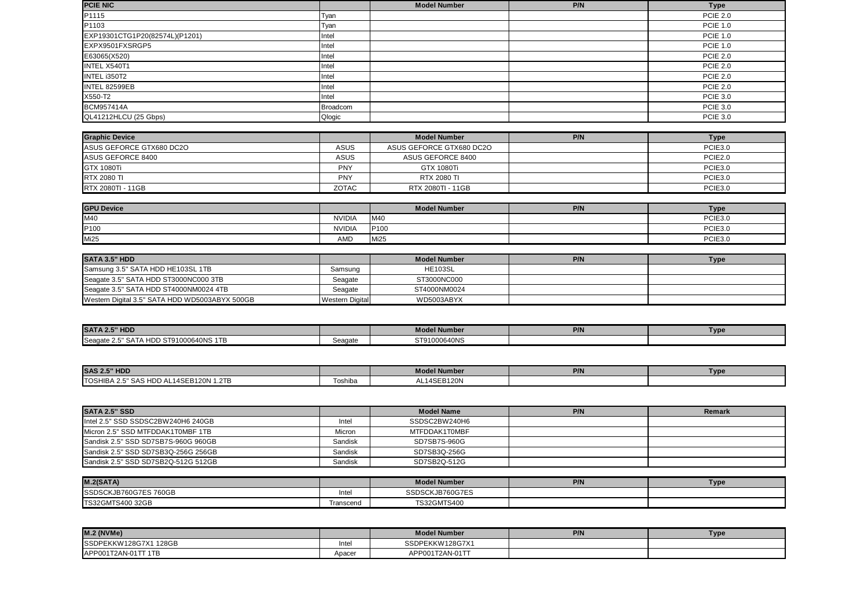| <b>PCIE NIC</b>                |                 | <b>Model Number</b> | P/N | <b>Type</b>     |
|--------------------------------|-----------------|---------------------|-----|-----------------|
| P1115                          | Tyan            |                     |     | <b>PCIE 2.0</b> |
| P <sub>1103</sub>              | Tyan            |                     |     | <b>PCIE 1.0</b> |
| EXP19301CTG1P20(82574L)(P1201) | Intel           |                     |     | <b>PCIE 1.0</b> |
| EXPX9501FXSRGP5                | Intel           |                     |     | <b>PCIE 1.0</b> |
| E63065(X520)                   | Intel           |                     |     | <b>PCIE 2.0</b> |
| <b>INTEL X540T1</b>            | Intel           |                     |     | <b>PCIE 2.0</b> |
| INTEL i350T2                   | Intel           |                     |     | <b>PCIE 2.0</b> |
| INTEL 82599EB                  | Intel           |                     |     | <b>PCIE 2.0</b> |
| X550-T2                        | Intel           |                     |     | <b>PCIE 3.0</b> |
| <b>BCM957414A</b>              | <b>Broadcom</b> |                     |     | <b>PCIE 3.0</b> |
| QL41212HLCU (25 Gbps)          | Qlogic          |                     |     | <b>PCIE 3.0</b> |

| <b>Graphic Device</b>    |              | <b>Model Number</b>      | P/N | Гуре                |
|--------------------------|--------------|--------------------------|-----|---------------------|
| ASUS GEFORCE GTX680 DC2O | ASUS         | ASUS GEFORCE GTX680 DC2O |     | PCIE3.0             |
| ASUS GEFORCE 8400        | ASUS         | ASUS GEFORCE 8400        |     | PCIE <sub>2.0</sub> |
| <b>GTX 1080Ti</b>        | <b>PNY</b>   | GTX 1080Ti               |     | PCIE3.0             |
| <b>RTX 2080 TI</b>       | <b>PNY</b>   | RTX 2080 TI              |     | PCIE3.0             |
| RTX 2080TI - 11GB        | <b>ZOTAC</b> | RTX 2080TI - 11GB        |     | PCIE3.0             |

| <b>GPU Device</b> |               | <b>Model Number</b> | P/N | Туре    |
|-------------------|---------------|---------------------|-----|---------|
| M40               | <b>NVIDIA</b> | M40                 |     | PCIE3.0 |
| P <sub>100</sub>  | <b>NVIDIA</b> | <b>P100</b>         |     | PCIE3.0 |
| <b>Mi25</b>       | <b>AMD</b>    | Mi <sub>25</sub>    |     | PCIE3.0 |

| <b>SATA 3.5" HDD</b>                           |                        | Model Number   | P/N | Type |
|------------------------------------------------|------------------------|----------------|-----|------|
| Samsung 3.5" SATA HDD HE103SL 1TB              | Samsung                | <b>HE103SL</b> |     |      |
| Seagate 3.5" SATA HDD ST3000NC000 3TB          | Seagate                | ST3000NC000    |     |      |
| Seagate 3.5" SATA HDD ST4000NM0024 4TB         | Seagate                | ST4000NM0024   |     |      |
| Western Digital 3.5" SATA HDD WD5003ABYX 500GB | <b>Western Digital</b> | WD5003ABYX     |     |      |

| <b>SATA 2.5" HDD</b>                    |         | <b>Model Number</b> | 77 IN | Typ∈ |
|-----------------------------------------|---------|---------------------|-------|------|
| HDD ST91000640NS 1TB<br>Seagate<br>5A L | Seagate | ST91000640NS        |       |      |

| <b>SAS 2.5" HDD</b>                          |         | <b>Model Number</b> | P/N | Type |
|----------------------------------------------|---------|---------------------|-----|------|
| TOSHIBA 2.5"<br>5" SAS HDD AL14SEB120N 1.2TB | Toshiba | AL14SEB120N         |     |      |

| <b>SATA 2.5" SSD</b>                |         | <b>Model Name</b> | P/N | Remark |
|-------------------------------------|---------|-------------------|-----|--------|
| Intel 2.5" SSD SSDSC2BW240H6 240GB  | Intel   | SSDSC2BW240H6     |     |        |
| Micron 2.5" SSD MTFDDAK1T0MBF 1TB   | Micron  | MTFDDAK1T0MBF     |     |        |
| Sandisk 2.5" SSD SD7SB7S-960G 960GB | Sandisk | SD7SB7S-960G      |     |        |
| Sandisk 2.5" SSD SD7SB3Q-256G 256GB | Sandisk | SD7SB3Q-256G      |     |        |
| Sandisk 2.5" SSD SD7SB2Q-512G 512GB | Sandisk | SD7SB2Q-512G      |     |        |

| M.2(SATA)               |           | Model Number       | P/N | Туре |
|-------------------------|-----------|--------------------|-----|------|
| SSDSCKJB760G7ES 760GB   | Inte      | SSDSCKJB760G7ES    |     |      |
| <b>TS32GMTS400 32GB</b> | Transcend | <b>TS32GMTS400</b> |     |      |

| <b>M.2 (NVMe)</b>     |        | <b>Model Number</b> | P/N | <b>Type</b> |
|-----------------------|--------|---------------------|-----|-------------|
| SSDPEKKW128G7X1 128GB | Intel  | SSDPEKKW128G7X1     |     |             |
| APP001T2AN-01TT 1TB   | Apacer | APP001T2AN-01TT     |     |             |